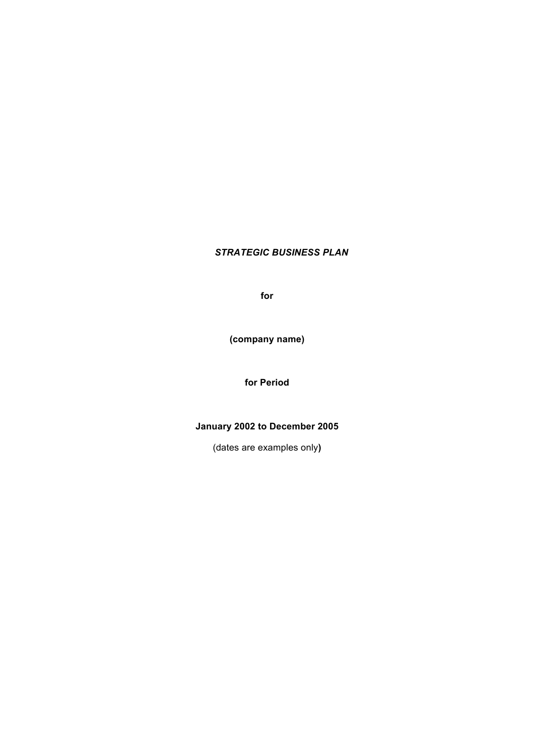# *STRATEGIC BUSINESS PLAN*

**for**

**(company name)**

**for Period**

# **January 2002 to December 2005**

(dates are examples only**)**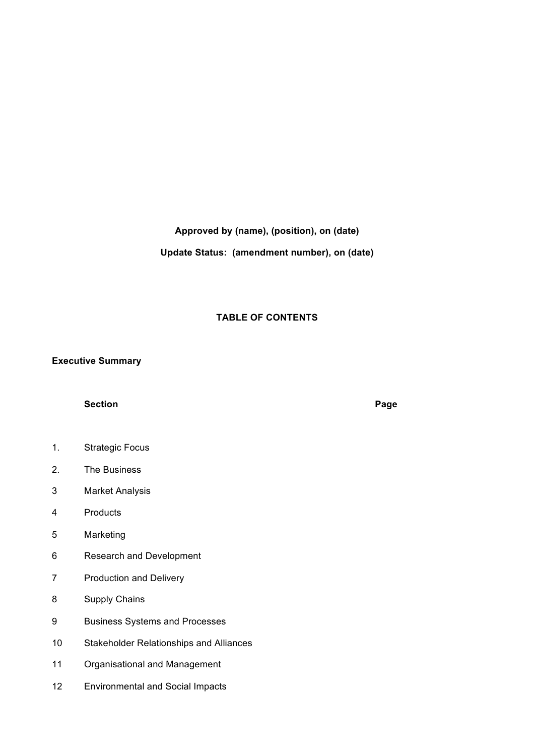## **Approved by (name), (position), on (date)**

**Update Status: (amendment number), on (date)**

### **TABLE OF CONTENTS**

### **Executive Summary**

## **Section Page**

- 1. Strategic Focus
- 2. The Business
- 3 Market Analysis
- 4 Products
- 5 Marketing
- 6 Research and Development
- 7 Production and Delivery
- 8 Supply Chains
- 9 Business Systems and Processes
- 10 Stakeholder Relationships and Alliances
- 11 Organisational and Management
- 12 Environmental and Social Impacts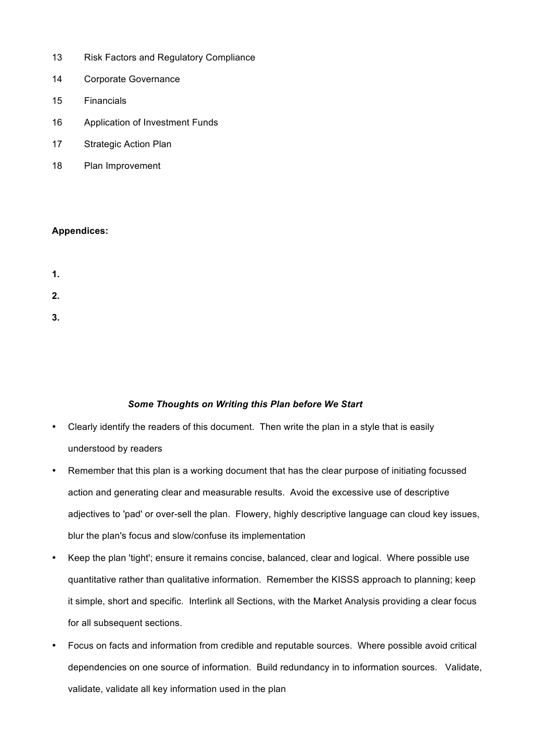- 13 Risk Factors and Regulatory Compliance
- 14 Corporate Governance
- 15 Financials
- 16 Application of Investment Funds
- 17 Strategic Action Plan
- 18 Plan Improvement

# **Appendices:**

- **1. 2.**
- **3.**

# *Some Thoughts on Writing this Plan before We Start*

- Clearly identify the readers of this document. Then write the plan in a style that is easily understood by readers
- Remember that this plan is a working document that has the clear purpose of initiating focussed action and generating clear and measurable results. Avoid the excessive use of descriptive adjectives to 'pad' or over-sell the plan. Flowery, highly descriptive language can cloud key issues, blur the plan's focus and slow/confuse its implementation
- Keep the plan 'tight'; ensure it remains concise, balanced, clear and logical. Where possible use quantitative rather than qualitative information. Remember the KISSS approach to planning; keep it simple, short and specific. Interlink all Sections, with the Market Analysis providing a clear focus for all subsequent sections.
- Focus on facts and information from credible and reputable sources. Where possible avoid critical dependencies on one source of information. Build redundancy in to information sources. Validate, validate, validate all key information used in the plan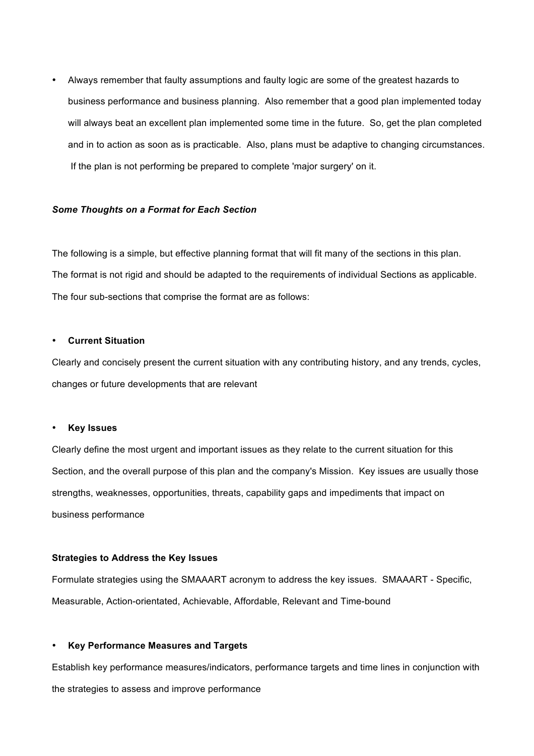• Always remember that faulty assumptions and faulty logic are some of the greatest hazards to business performance and business planning. Also remember that a good plan implemented today will always beat an excellent plan implemented some time in the future. So, get the plan completed and in to action as soon as is practicable. Also, plans must be adaptive to changing circumstances. If the plan is not performing be prepared to complete 'major surgery' on it.

#### *Some Thoughts on a Format for Each Section*

The following is a simple, but effective planning format that will fit many of the sections in this plan. The format is not rigid and should be adapted to the requirements of individual Sections as applicable. The four sub-sections that comprise the format are as follows:

#### • **Current Situation**

Clearly and concisely present the current situation with any contributing history, and any trends, cycles, changes or future developments that are relevant

#### • **Key Issues**

Clearly define the most urgent and important issues as they relate to the current situation for this Section, and the overall purpose of this plan and the company's Mission. Key issues are usually those strengths, weaknesses, opportunities, threats, capability gaps and impediments that impact on business performance

#### **Strategies to Address the Key Issues**

Formulate strategies using the SMAAART acronym to address the key issues. SMAAART - Specific, Measurable, Action-orientated, Achievable, Affordable, Relevant and Time-bound

#### • **Key Performance Measures and Targets**

Establish key performance measures/indicators, performance targets and time lines in conjunction with the strategies to assess and improve performance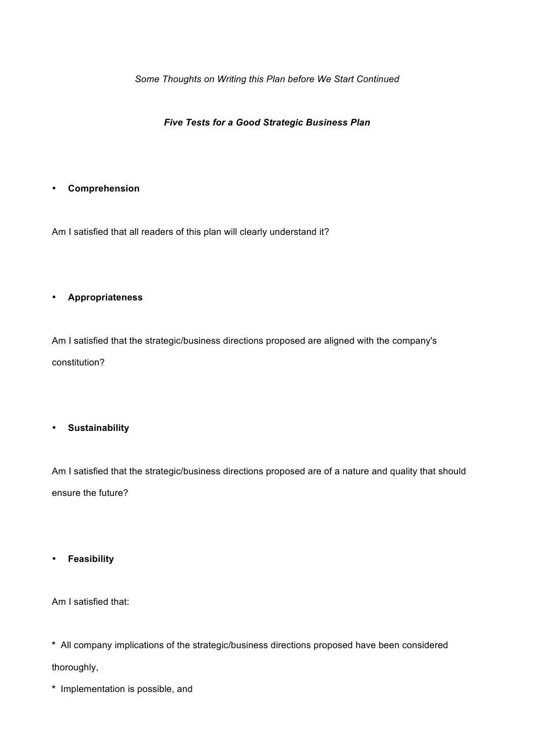*Some Thoughts on Writing this Plan before We Start Continued*

*Five Tests for a Good Strategic Business Plan* 

## • **Comprehension**

Am I satisfied that all readers of this plan will clearly understand it?

## • **Appropriateness**

Am I satisfied that the strategic/business directions proposed are aligned with the company's constitution?

## • **Sustainability**

Am I satisfied that the strategic/business directions proposed are of a nature and quality that should ensure the future?

• **Feasibility**

Am I satisfied that:

- **\*** All company implications of the strategic/business directions proposed have been considered thoroughly,
- **\*** Implementation is possible, and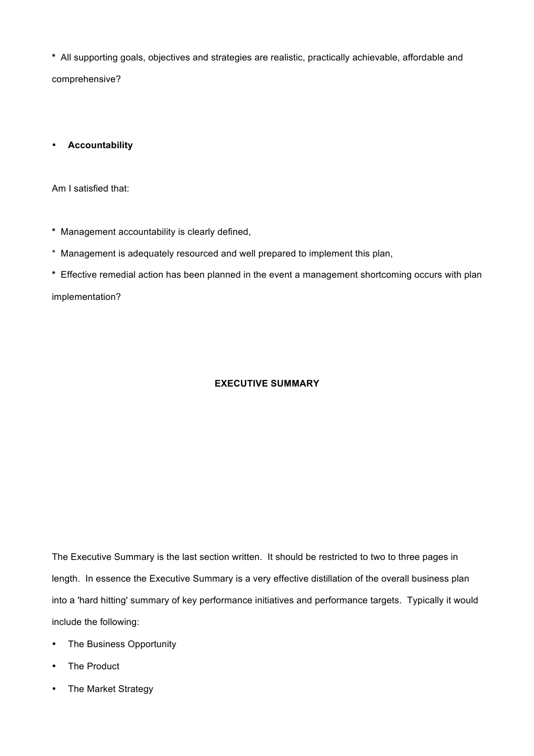**\*** All supporting goals, objectives and strategies are realistic, practically achievable, affordable and comprehensive?

• **Accountability**

Am I satisfied that:

- **\*** Management accountability is clearly defined,
- \* Management is adequately resourced and well prepared to implement this plan,
- **\*** Effective remedial action has been planned in the event a management shortcoming occurs with plan

implementation?

## **EXECUTIVE SUMMARY**

The Executive Summary is the last section written. It should be restricted to two to three pages in length. In essence the Executive Summary is a very effective distillation of the overall business plan into a 'hard hitting' summary of key performance initiatives and performance targets. Typically it would include the following:

- The Business Opportunity
- The Product
- The Market Strategy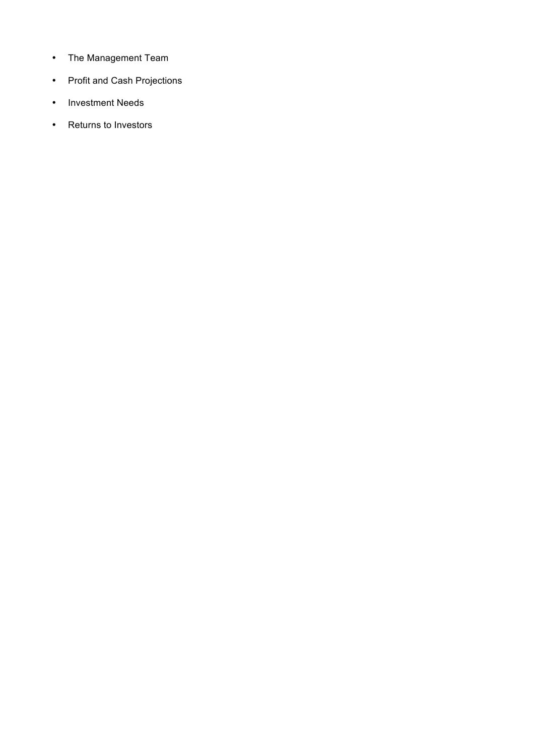- The Management Team
- Profit and Cash Projections
- Investment Needs
- Returns to Investors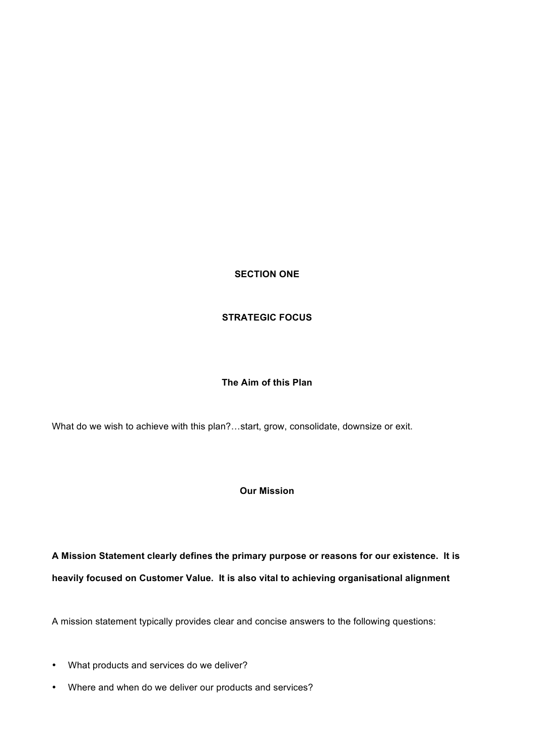**SECTION ONE**

## **STRATEGIC FOCUS**

## **The Aim of this Plan**

What do we wish to achieve with this plan?…start, grow, consolidate, downsize or exit.

## **Our Mission**

**A Mission Statement clearly defines the primary purpose or reasons for our existence. It is heavily focused on Customer Value. It is also vital to achieving organisational alignment**

A mission statement typically provides clear and concise answers to the following questions:

- What products and services do we deliver?
- Where and when do we deliver our products and services?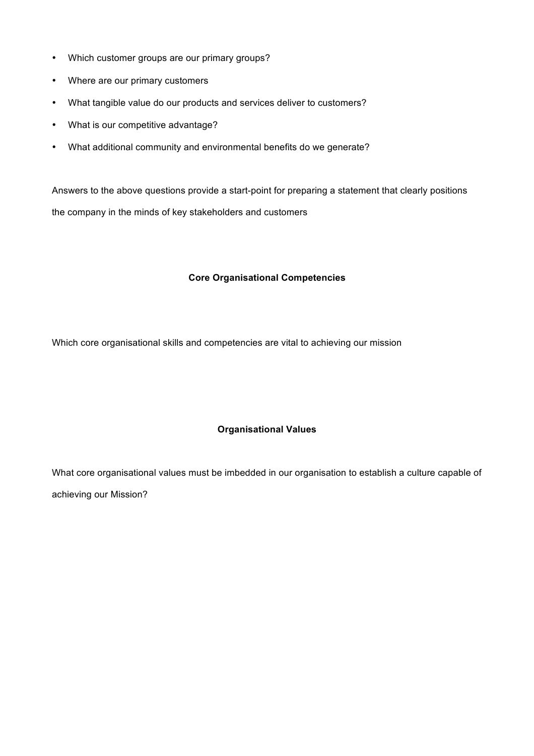- Which customer groups are our primary groups?
- Where are our primary customers
- What tangible value do our products and services deliver to customers?
- What is our competitive advantage?
- What additional community and environmental benefits do we generate?

Answers to the above questions provide a start-point for preparing a statement that clearly positions the company in the minds of key stakeholders and customers

## **Core Organisational Competencies**

Which core organisational skills and competencies are vital to achieving our mission

## **Organisational Values**

What core organisational values must be imbedded in our organisation to establish a culture capable of achieving our Mission?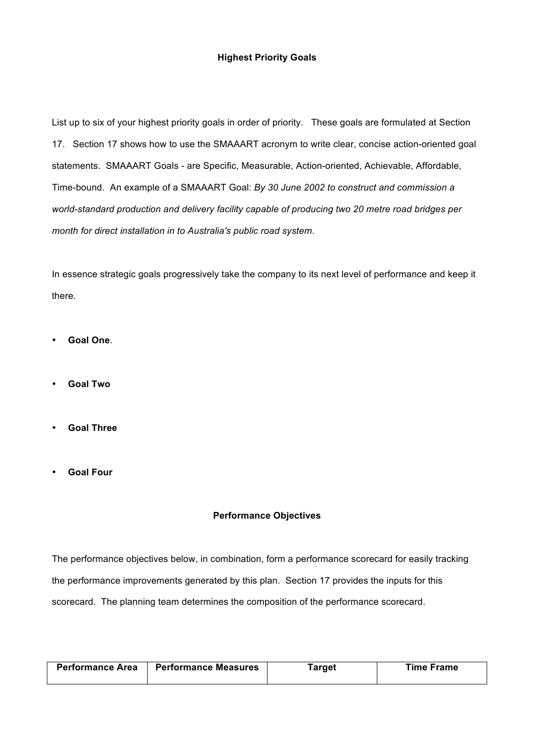## **Highest Priority Goals**

List up to six of your highest priority goals in order of priority. These goals are formulated at Section 17. Section 17 shows how to use the SMAAART acronym to write clear, concise action-oriented goal statements. SMAAART Goals - are Specific, Measurable, Action-oriented, Achievable, Affordable, Time-bound. An example of a SMAAART Goal: *By 30 June 2002 to construct and commission a world-standard production and delivery facility capable of producing two 20 metre road bridges per month for direct installation in to Australia's public road system*.

In essence strategic goals progressively take the company to its next level of performance and keep it there.

- **Goal One**.
- **Goal Two**
- **Goal Three**
- **Goal Four**

### **Performance Objectives**

The performance objectives below, in combination, form a performance scorecard for easily tracking the performance improvements generated by this plan. Section 17 provides the inputs for this scorecard. The planning team determines the composition of the performance scorecard.

| Performance Area | <b>Performance Measures</b> | <b>Farget</b> | Time Frame |
|------------------|-----------------------------|---------------|------------|
|                  |                             |               |            |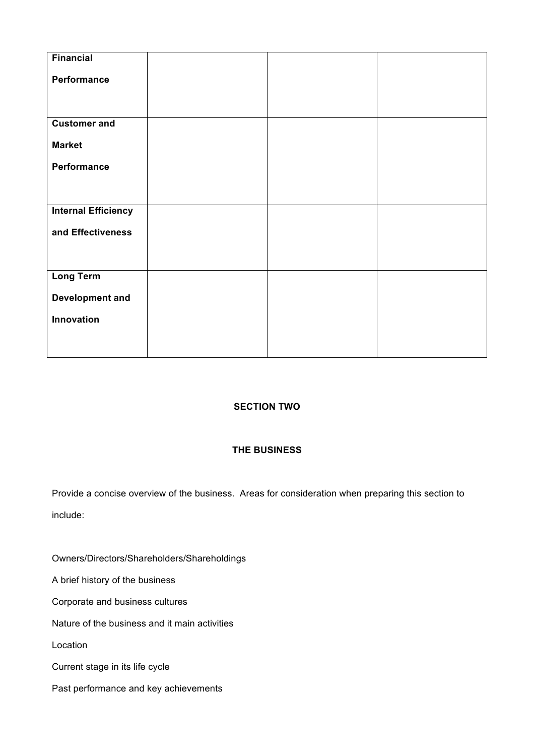| Financial                  |  |  |
|----------------------------|--|--|
| Performance                |  |  |
|                            |  |  |
|                            |  |  |
| <b>Customer and</b>        |  |  |
| <b>Market</b>              |  |  |
| Performance                |  |  |
|                            |  |  |
|                            |  |  |
| <b>Internal Efficiency</b> |  |  |
| and Effectiveness          |  |  |
|                            |  |  |
|                            |  |  |
| <b>Long Term</b>           |  |  |
| <b>Development and</b>     |  |  |
| Innovation                 |  |  |
|                            |  |  |
|                            |  |  |

## **SECTION TWO**

## **THE BUSINESS**

Provide a concise overview of the business. Areas for consideration when preparing this section to include:

Owners/Directors/Shareholders/Shareholdings

A brief history of the business

Corporate and business cultures

Nature of the business and it main activities

Location

Current stage in its life cycle

Past performance and key achievements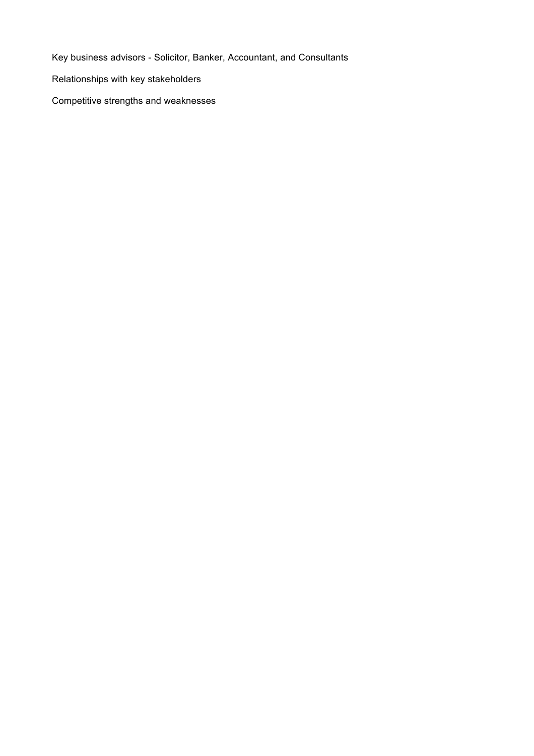Key business advisors - Solicitor, Banker, Accountant, and Consultants

Relationships with key stakeholders

Competitive strengths and weaknesses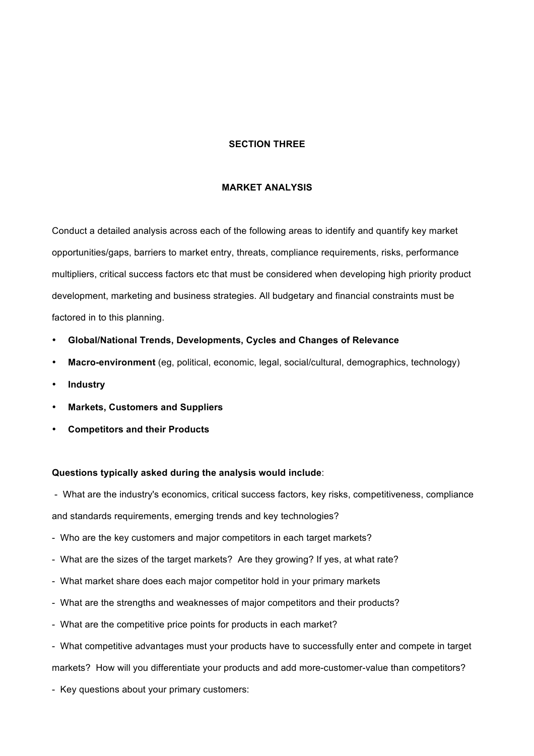### **SECTION THREE**

#### **MARKET ANALYSIS**

Conduct a detailed analysis across each of the following areas to identify and quantify key market opportunities/gaps, barriers to market entry, threats, compliance requirements, risks, performance multipliers, critical success factors etc that must be considered when developing high priority product development, marketing and business strategies. All budgetary and financial constraints must be factored in to this planning.

- **Global/National Trends, Developments, Cycles and Changes of Relevance**
- **Macro-environment** (eg, political, economic, legal, social/cultural, demographics, technology)
- **Industry**
- **Markets, Customers and Suppliers**
- **Competitors and their Products**

#### **Questions typically asked during the analysis would include**:

- What are the industry's economics, critical success factors, key risks, competitiveness, compliance and standards requirements, emerging trends and key technologies?

- Who are the key customers and major competitors in each target markets?
- What are the sizes of the target markets? Are they growing? If yes, at what rate?
- What market share does each major competitor hold in your primary markets
- What are the strengths and weaknesses of major competitors and their products?
- What are the competitive price points for products in each market?
- What competitive advantages must your products have to successfully enter and compete in target

markets? How will you differentiate your products and add more-customer-value than competitors?

- Key questions about your primary customers: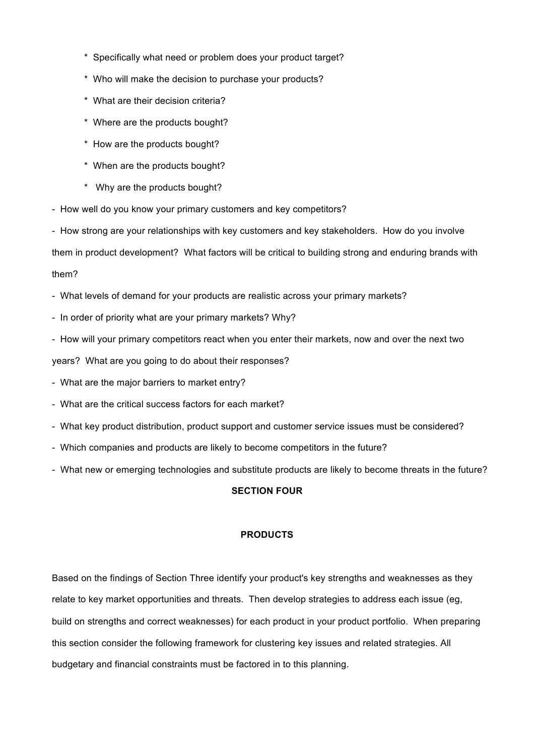- \* Specifically what need or problem does your product target?
- \* Who will make the decision to purchase your products?
- \* What are their decision criteria?
- \* Where are the products bought?
- \* How are the products bought?
- \* When are the products bought?
- \* Why are the products bought?
- How well do you know your primary customers and key competitors?
- How strong are your relationships with key customers and key stakeholders. How do you involve

them in product development? What factors will be critical to building strong and enduring brands with them?

- What levels of demand for your products are realistic across your primary markets?
- In order of priority what are your primary markets? Why?
- How will your primary competitors react when you enter their markets, now and over the next two

years? What are you going to do about their responses?

- What are the major barriers to market entry?
- What are the critical success factors for each market?
- What key product distribution, product support and customer service issues must be considered?
- Which companies and products are likely to become competitors in the future?
- What new or emerging technologies and substitute products are likely to become threats in the future?

## **SECTION FOUR**

### **PRODUCTS**

Based on the findings of Section Three identify your product's key strengths and weaknesses as they relate to key market opportunities and threats. Then develop strategies to address each issue (eg, build on strengths and correct weaknesses) for each product in your product portfolio. When preparing this section consider the following framework for clustering key issues and related strategies. All budgetary and financial constraints must be factored in to this planning.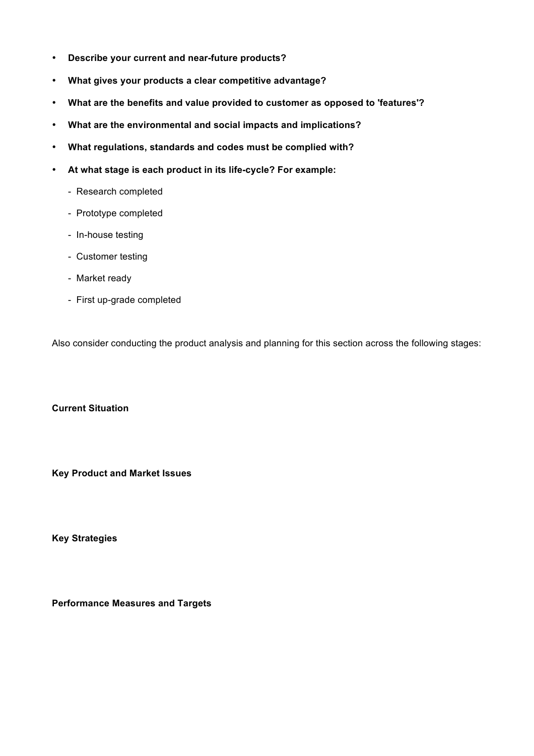- **Describe your current and near-future products?**
- **What gives your products a clear competitive advantage?**
- **What are the benefits and value provided to customer as opposed to 'features'?**
- **What are the environmental and social impacts and implications?**
- **What regulations, standards and codes must be complied with?**
- **At what stage is each product in its life-cycle? For example:**
	- Research completed
	- Prototype completed
	- In-house testing
	- Customer testing
	- Market ready
	- First up-grade completed

Also consider conducting the product analysis and planning for this section across the following stages:

**Current Situation**

**Key Product and Market Issues**

**Key Strategies**

**Performance Measures and Targets**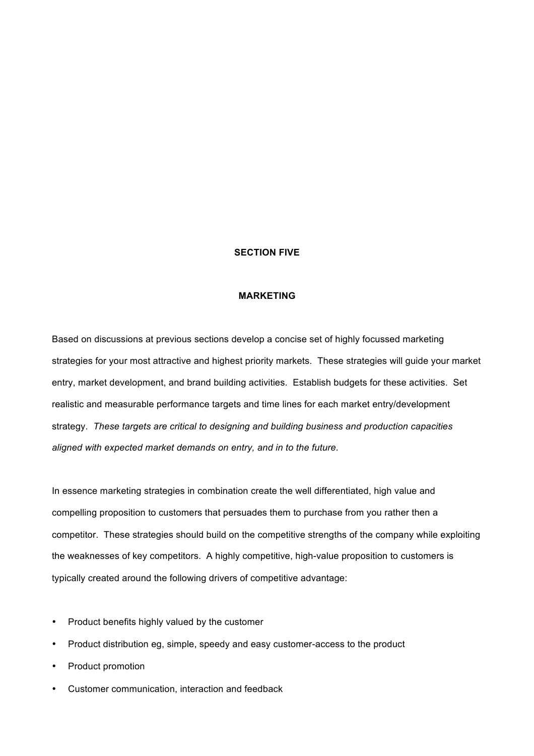### **SECTION FIVE**

#### **MARKETING**

Based on discussions at previous sections develop a concise set of highly focussed marketing strategies for your most attractive and highest priority markets. These strategies will guide your market entry, market development, and brand building activities. Establish budgets for these activities. Set realistic and measurable performance targets and time lines for each market entry/development strategy. *These targets are critical to designing and building business and production capacities aligned with expected market demands on entry, and in to the future*.

In essence marketing strategies in combination create the well differentiated, high value and compelling proposition to customers that persuades them to purchase from you rather then a competitor. These strategies should build on the competitive strengths of the company while exploiting the weaknesses of key competitors. A highly competitive, high-value proposition to customers is typically created around the following drivers of competitive advantage:

- Product benefits highly valued by the customer
- Product distribution eg, simple, speedy and easy customer-access to the product
- Product promotion
- Customer communication, interaction and feedback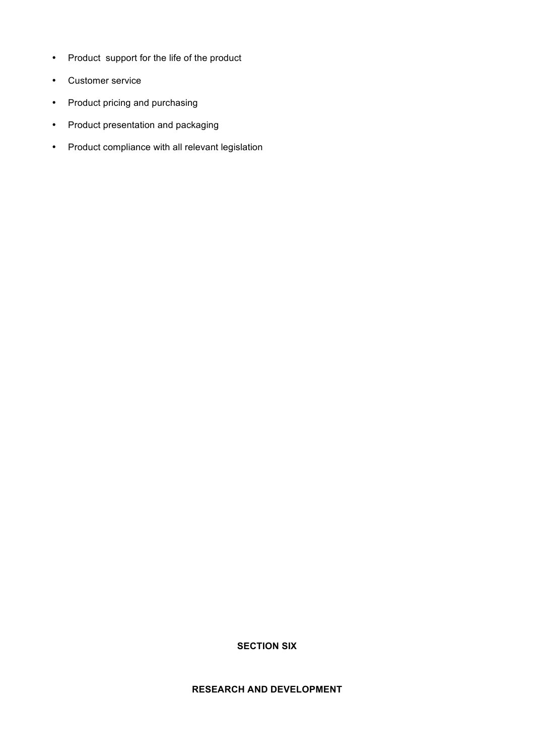- Product support for the life of the product
- Customer service
- Product pricing and purchasing
- Product presentation and packaging
- Product compliance with all relevant legislation

**RESEARCH AND DEVELOPMENT**

**SECTION SIX**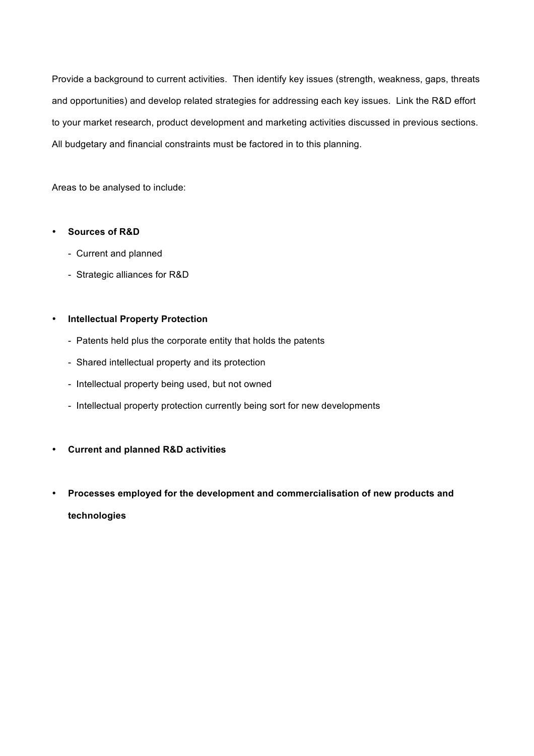Provide a background to current activities. Then identify key issues (strength, weakness, gaps, threats and opportunities) and develop related strategies for addressing each key issues. Link the R&D effort to your market research, product development and marketing activities discussed in previous sections. All budgetary and financial constraints must be factored in to this planning.

Areas to be analysed to include:

## • **Sources of R&D**

- Current and planned
- Strategic alliances for R&D

## • **Intellectual Property Protection**

- Patents held plus the corporate entity that holds the patents
- Shared intellectual property and its protection
- Intellectual property being used, but not owned
- Intellectual property protection currently being sort for new developments
- **Current and planned R&D activities**
- **Processes employed for the development and commercialisation of new products and technologies**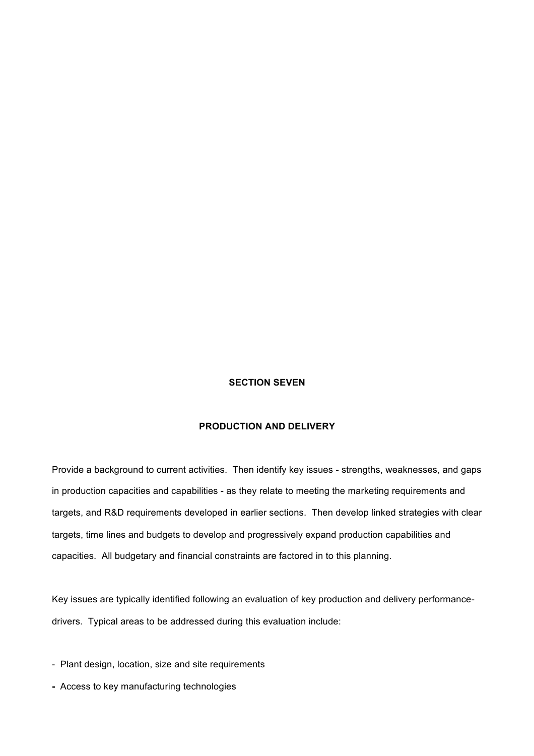## **SECTION SEVEN**

### **PRODUCTION AND DELIVERY**

Provide a background to current activities. Then identify key issues - strengths, weaknesses, and gaps in production capacities and capabilities - as they relate to meeting the marketing requirements and targets, and R&D requirements developed in earlier sections. Then develop linked strategies with clear targets, time lines and budgets to develop and progressively expand production capabilities and capacities. All budgetary and financial constraints are factored in to this planning.

Key issues are typically identified following an evaluation of key production and delivery performancedrivers. Typical areas to be addressed during this evaluation include:

- Plant design, location, size and site requirements
- Access to key manufacturing technologies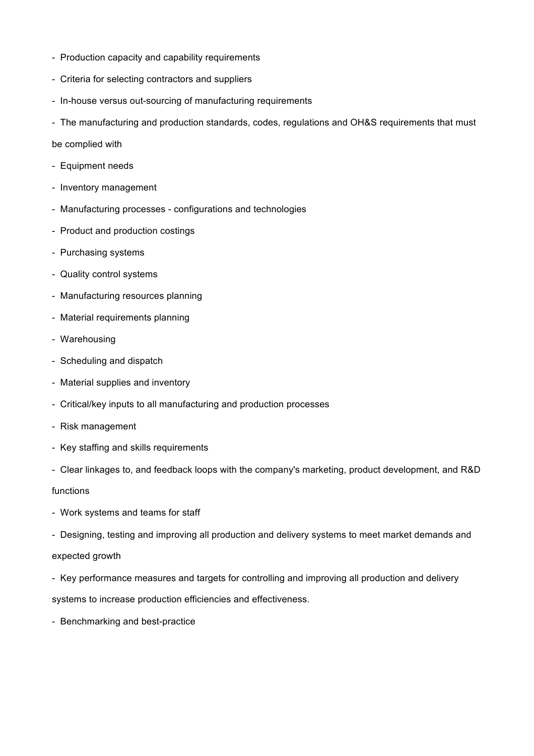- Production capacity and capability requirements
- Criteria for selecting contractors and suppliers
- In-house versus out-sourcing of manufacturing requirements
- The manufacturing and production standards, codes, regulations and OH&S requirements that must

### be complied with

- Equipment needs
- Inventory management
- Manufacturing processes configurations and technologies
- Product and production costings
- Purchasing systems
- Quality control systems
- Manufacturing resources planning
- Material requirements planning
- Warehousing
- Scheduling and dispatch
- Material supplies and inventory
- Critical/key inputs to all manufacturing and production processes
- Risk management
- Key staffing and skills requirements
- Clear linkages to, and feedback loops with the company's marketing, product development, and R&D

functions

- Work systems and teams for staff
- Designing, testing and improving all production and delivery systems to meet market demands and expected growth
- Key performance measures and targets for controlling and improving all production and delivery

systems to increase production efficiencies and effectiveness.

- Benchmarking and best-practice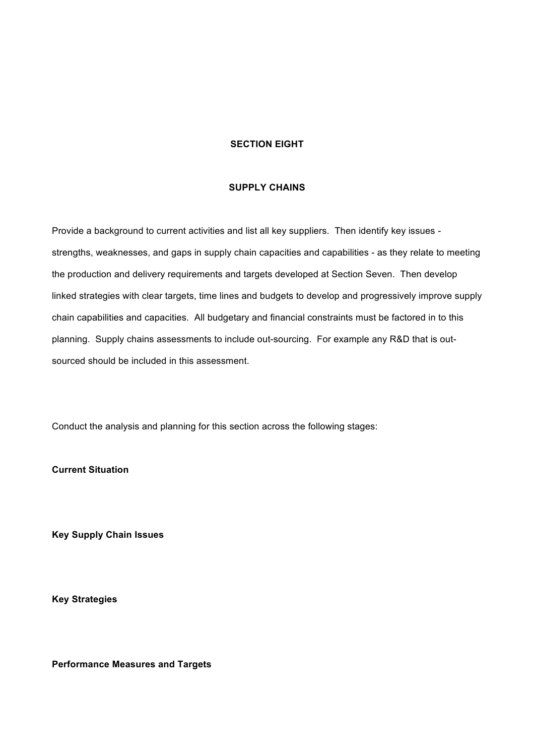### **SECTION EIGHT**

#### **SUPPLY CHAINS**

Provide a background to current activities and list all key suppliers. Then identify key issues strengths, weaknesses, and gaps in supply chain capacities and capabilities - as they relate to meeting the production and delivery requirements and targets developed at Section Seven. Then develop linked strategies with clear targets, time lines and budgets to develop and progressively improve supply chain capabilities and capacities. All budgetary and financial constraints must be factored in to this planning. Supply chains assessments to include out-sourcing. For example any R&D that is outsourced should be included in this assessment.

Conduct the analysis and planning for this section across the following stages:

**Current Situation**

**Key Supply Chain Issues**

**Key Strategies**

**Performance Measures and Targets**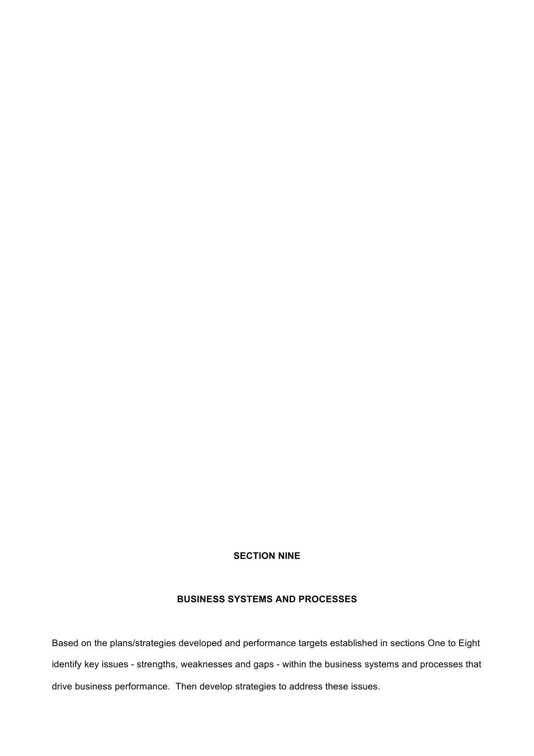## **SECTION NINE**

# **BUSINESS SYSTEMS AND PROCESSES**

Based on the plans/strategies developed and performance targets established in sections One to Eight identify key issues - strengths, weaknesses and gaps - within the business systems and processes that drive business performance. Then develop strategies to address these issues.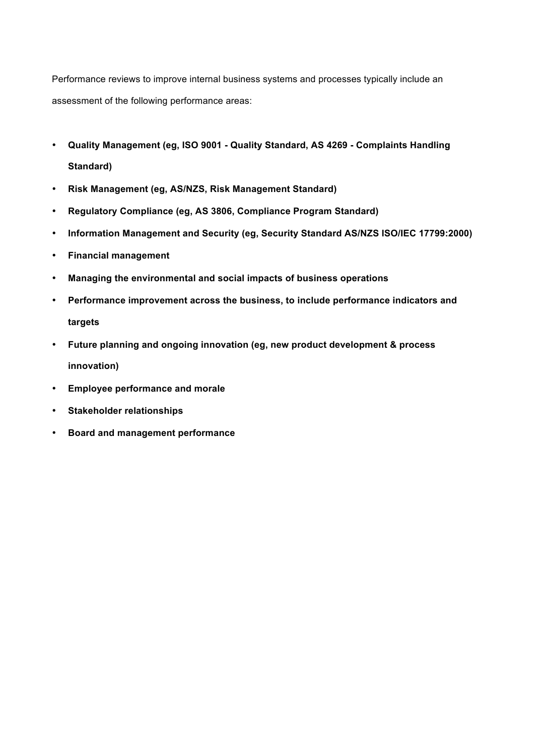Performance reviews to improve internal business systems and processes typically include an assessment of the following performance areas:

- **Quality Management (eg, ISO 9001 - Quality Standard, AS 4269 - Complaints Handling Standard)**
- **Risk Management (eg, AS/NZS, Risk Management Standard)**
- **Regulatory Compliance (eg, AS 3806, Compliance Program Standard)**
- **Information Management and Security (eg, Security Standard AS/NZS ISO/IEC 17799:2000)**
- **Financial management**
- **Managing the environmental and social impacts of business operations**
- **Performance improvement across the business, to include performance indicators and targets**
- **Future planning and ongoing innovation (eg, new product development & process innovation)**
- **Employee performance and morale**
- **Stakeholder relationships**
- **Board and management performance**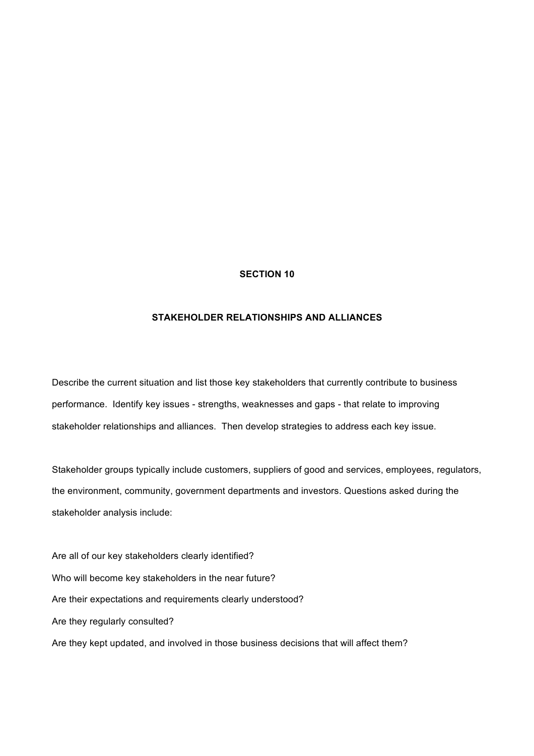### **STAKEHOLDER RELATIONSHIPS AND ALLIANCES**

Describe the current situation and list those key stakeholders that currently contribute to business performance. Identify key issues - strengths, weaknesses and gaps - that relate to improving stakeholder relationships and alliances. Then develop strategies to address each key issue.

Stakeholder groups typically include customers, suppliers of good and services, employees, regulators, the environment, community, government departments and investors. Questions asked during the stakeholder analysis include:

Are all of our key stakeholders clearly identified? Who will become key stakeholders in the near future? Are their expectations and requirements clearly understood? Are they regularly consulted? Are they kept updated, and involved in those business decisions that will affect them?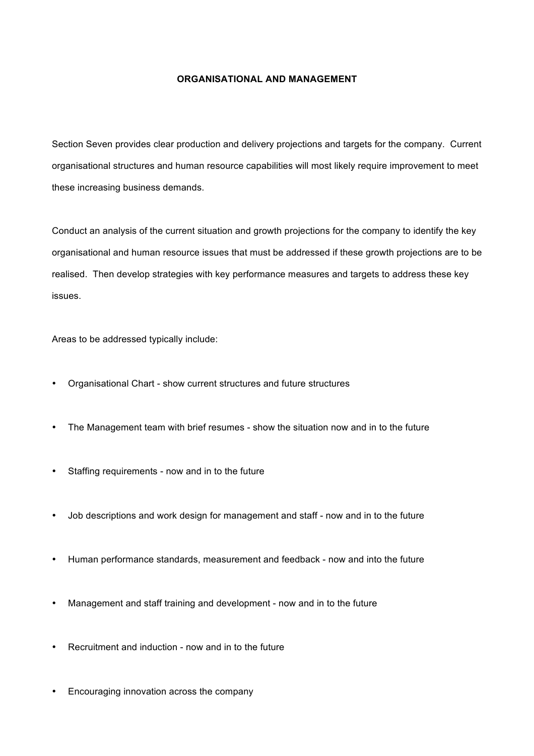### **ORGANISATIONAL AND MANAGEMENT**

Section Seven provides clear production and delivery projections and targets for the company. Current organisational structures and human resource capabilities will most likely require improvement to meet these increasing business demands.

Conduct an analysis of the current situation and growth projections for the company to identify the key organisational and human resource issues that must be addressed if these growth projections are to be realised. Then develop strategies with key performance measures and targets to address these key issues.

Areas to be addressed typically include:

- Organisational Chart show current structures and future structures
- The Management team with brief resumes show the situation now and in to the future
- Staffing requirements now and in to the future
- Job descriptions and work design for management and staff now and in to the future
- Human performance standards, measurement and feedback now and into the future
- Management and staff training and development now and in to the future
- Recruitment and induction now and in to the future
- Encouraging innovation across the company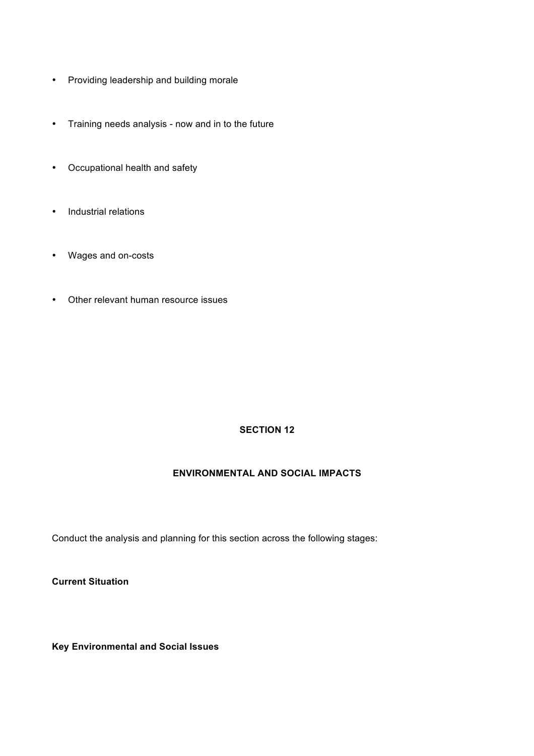- Providing leadership and building morale
- Training needs analysis now and in to the future
- Occupational health and safety
- Industrial relations
- Wages and on-costs
- Other relevant human resource issues

## **ENVIRONMENTAL AND SOCIAL IMPACTS**

Conduct the analysis and planning for this section across the following stages:

**Current Situation**

**Key Environmental and Social Issues**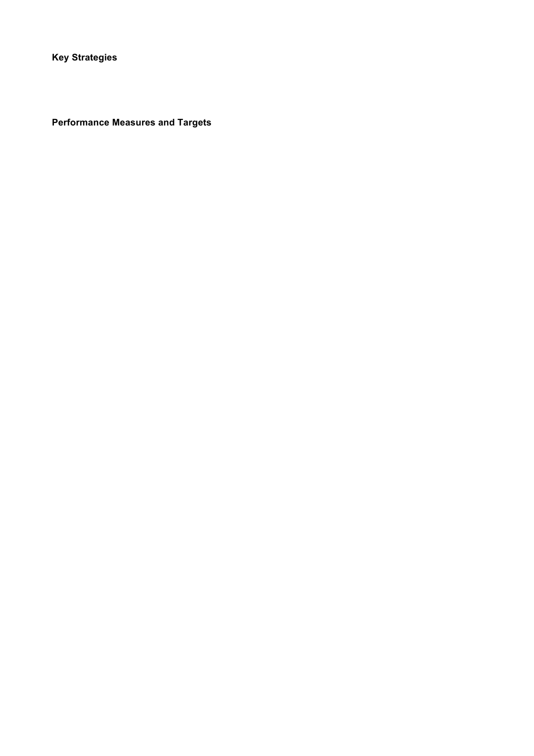**Key Strategies**

**Performance Measures and Targets**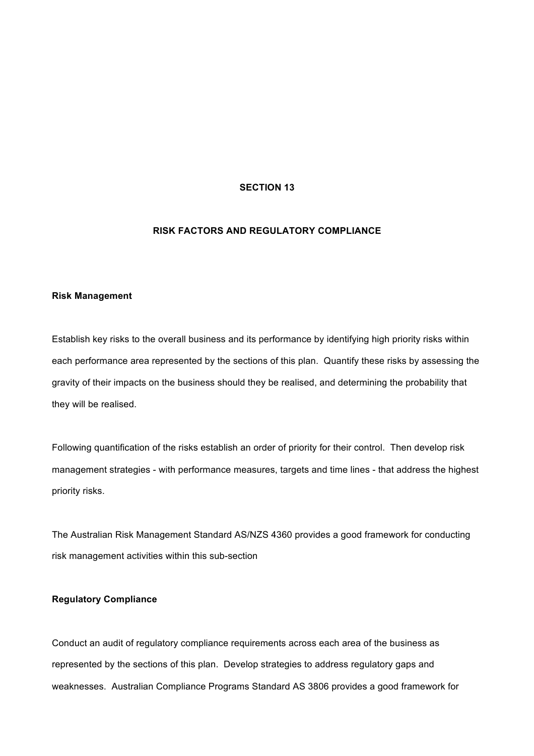## **RISK FACTORS AND REGULATORY COMPLIANCE**

#### **Risk Management**

Establish key risks to the overall business and its performance by identifying high priority risks within each performance area represented by the sections of this plan. Quantify these risks by assessing the gravity of their impacts on the business should they be realised, and determining the probability that they will be realised.

Following quantification of the risks establish an order of priority for their control. Then develop risk management strategies - with performance measures, targets and time lines - that address the highest priority risks.

The Australian Risk Management Standard AS/NZS 4360 provides a good framework for conducting risk management activities within this sub-section

### **Regulatory Compliance**

Conduct an audit of regulatory compliance requirements across each area of the business as represented by the sections of this plan. Develop strategies to address regulatory gaps and weaknesses. Australian Compliance Programs Standard AS 3806 provides a good framework for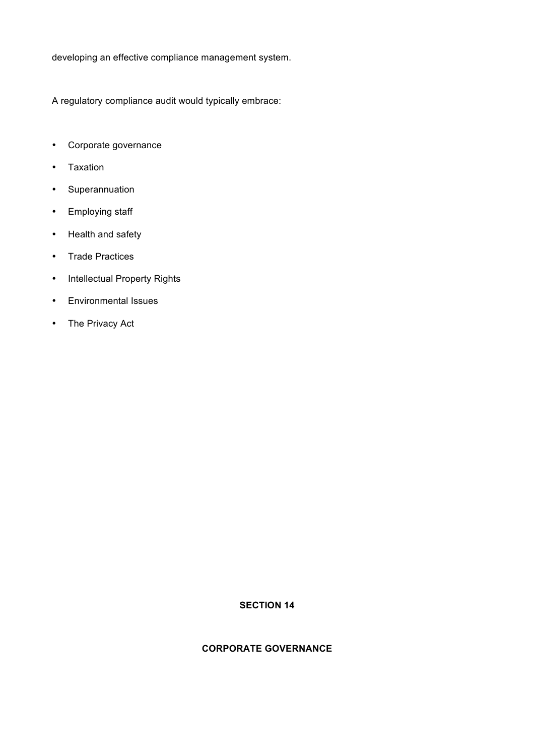developing an effective compliance management system.

A regulatory compliance audit would typically embrace:

- Corporate governance
- Taxation
- Superannuation
- Employing staff
- Health and safety
- Trade Practices
- Intellectual Property Rights
- Environmental Issues
- The Privacy Act

## **SECTION 14**

## **CORPORATE GOVERNANCE**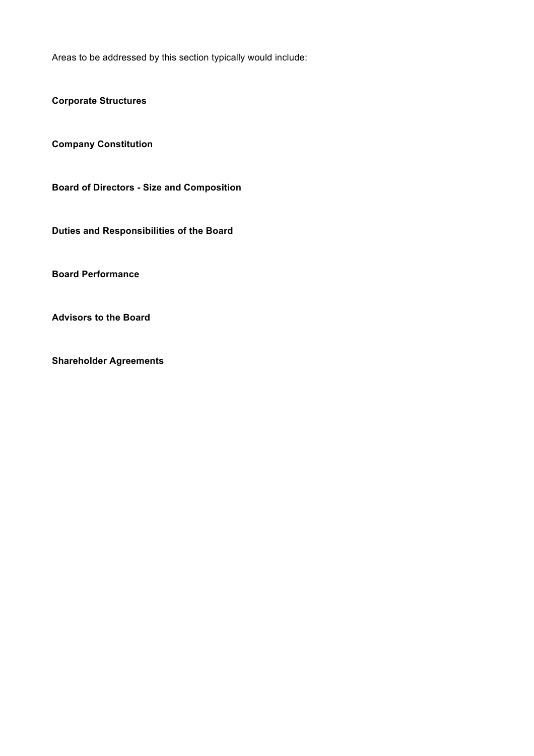Areas to be addressed by this section typically would include:

**Corporate Structures**

**Company Constitution**

**Board of Directors - Size and Composition**

**Duties and Responsibilities of the Board**

**Board Performance**

**Advisors to the Board**

**Shareholder Agreements**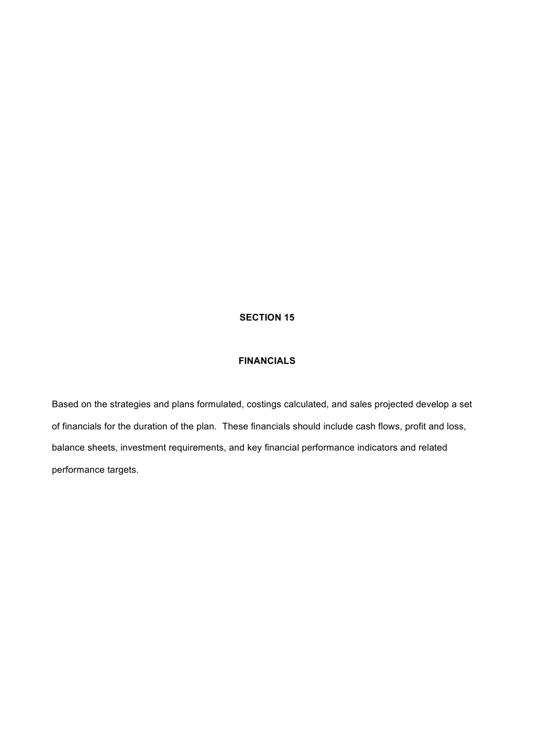## **FINANCIALS**

Based on the strategies and plans formulated, costings calculated, and sales projected develop a set of financials for the duration of the plan. These financials should include cash flows, profit and loss, balance sheets, investment requirements, and key financial performance indicators and related performance targets.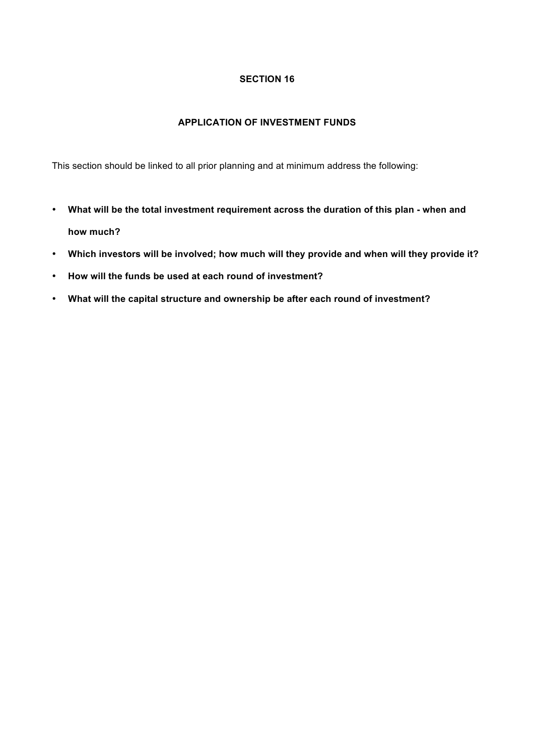## **APPLICATION OF INVESTMENT FUNDS**

This section should be linked to all prior planning and at minimum address the following:

- **What will be the total investment requirement across the duration of this plan - when and how much?**
- **Which investors will be involved; how much will they provide and when will they provide it?**
- **How will the funds be used at each round of investment?**
- **What will the capital structure and ownership be after each round of investment?**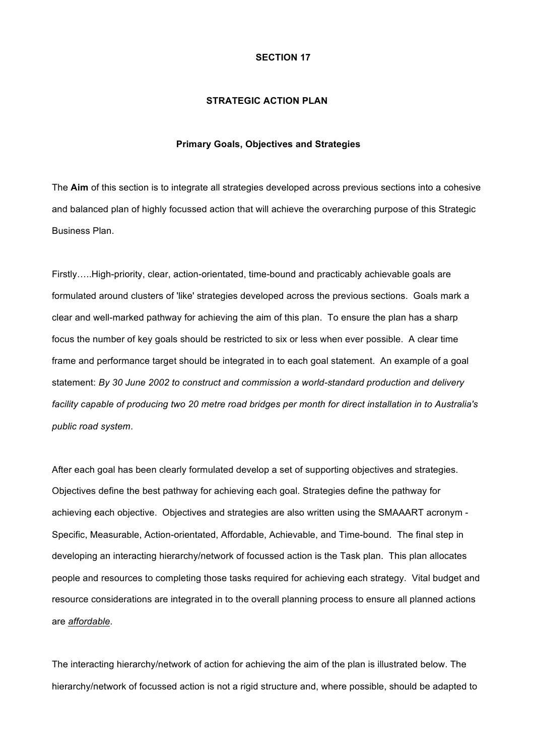#### **STRATEGIC ACTION PLAN**

#### **Primary Goals, Objectives and Strategies**

The **Aim** of this section is to integrate all strategies developed across previous sections into a cohesive and balanced plan of highly focussed action that will achieve the overarching purpose of this Strategic Business Plan.

Firstly…..High-priority, clear, action-orientated, time-bound and practicably achievable goals are formulated around clusters of 'like' strategies developed across the previous sections. Goals mark a clear and well-marked pathway for achieving the aim of this plan. To ensure the plan has a sharp focus the number of key goals should be restricted to six or less when ever possible. A clear time frame and performance target should be integrated in to each goal statement. An example of a goal statement: *By 30 June 2002 to construct and commission a world-standard production and delivery facility capable of producing two 20 metre road bridges per month for direct installation in to Australia's public road system*.

After each goal has been clearly formulated develop a set of supporting objectives and strategies. Objectives define the best pathway for achieving each goal. Strategies define the pathway for achieving each objective. Objectives and strategies are also written using the SMAAART acronym - Specific, Measurable, Action-orientated, Affordable, Achievable, and Time-bound. The final step in developing an interacting hierarchy/network of focussed action is the Task plan. This plan allocates people and resources to completing those tasks required for achieving each strategy. Vital budget and resource considerations are integrated in to the overall planning process to ensure all planned actions are *affordable*.

The interacting hierarchy/network of action for achieving the aim of the plan is illustrated below. The hierarchy/network of focussed action is not a rigid structure and, where possible, should be adapted to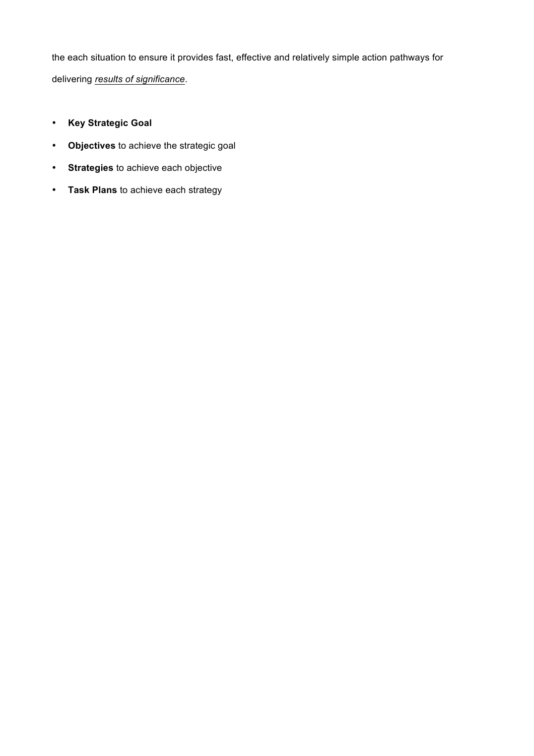the each situation to ensure it provides fast, effective and relatively simple action pathways for delivering *results of significance*.

- **Key Strategic Goal**
- **Objectives** to achieve the strategic goal
- **Strategies** to achieve each objective
- **Task Plans** to achieve each strategy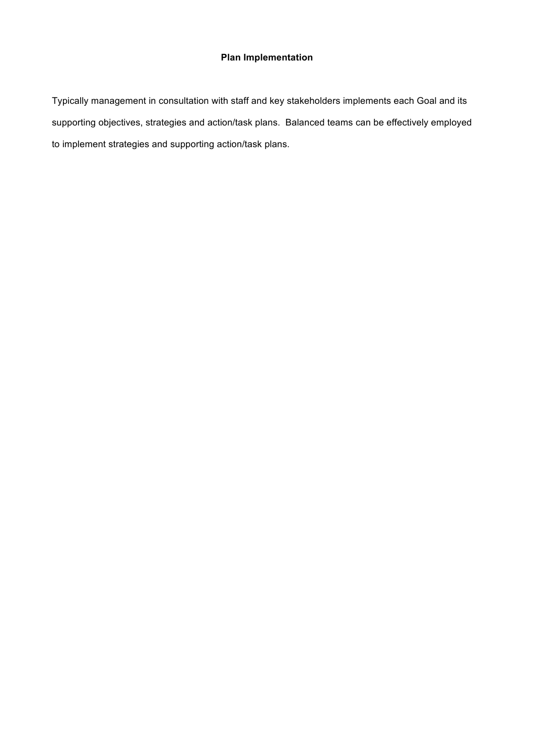# **Plan Implementation**

Typically management in consultation with staff and key stakeholders implements each Goal and its supporting objectives, strategies and action/task plans. Balanced teams can be effectively employed to implement strategies and supporting action/task plans.